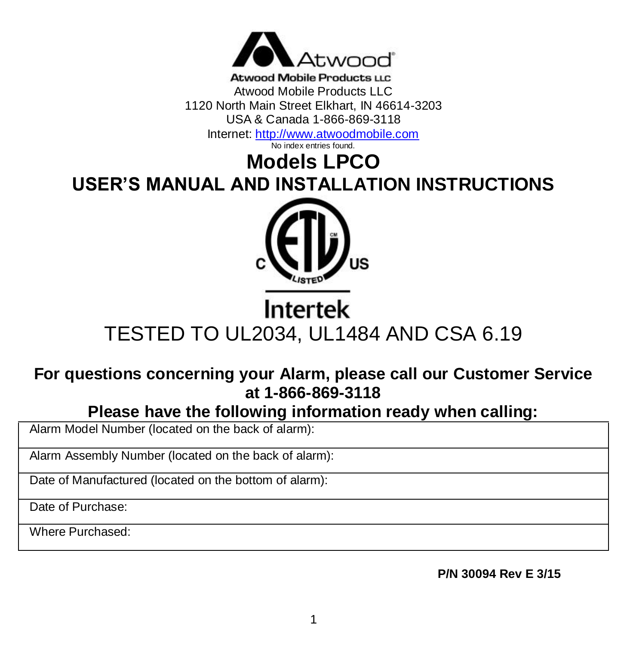

Atwood Mobile Products U.C. Atwood Mobile Products LLC 1120 North Main Street Elkhart, IN 46614-3203 USA & Canada 1-866-869-3118 Internet[: http://www.atwoodmobile.com](http://www.atwoodmobile.com/)

No index entries found.

# **Models LPCO USER'S MANUAL AND INSTALLATION INSTRUCTIONS**



# Intertek TESTED TO UL2034, UL1484 AND CSA 6.19

# **For questions concerning your Alarm, please call our Customer Service at 1-866-869-3118**

**Please have the following information ready when calling:**

Alarm Model Number (located on the back of alarm):

Alarm Assembly Number (located on the back of alarm):

Date of Manufactured (located on the bottom of alarm):

Date of Purchase:

Where Purchased:

**P/N 30094 Rev E 3/15**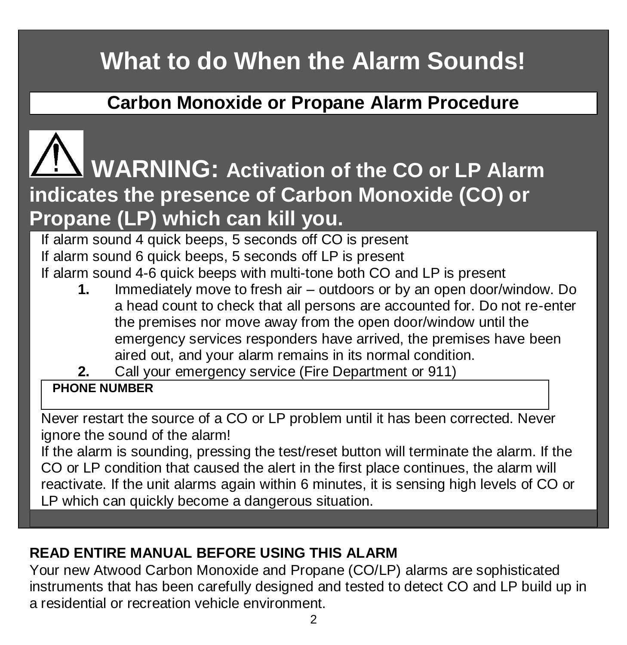# **What to do When the Alarm Sounds!**

# **Carbon Monoxide or Propane Alarm Procedure**

# **WARNING: Activation of the CO or LP Alarm indicates the presence of Carbon Monoxide (CO) or Propane (LP) which can kill you.**

If alarm sound 4 quick beeps, 5 seconds off CO is present If alarm sound 6 quick beeps, 5 seconds off LP is present If alarm sound 4-6 quick beeps with multi-tone both CO and LP is present

- **1.** Immediately move to fresh air outdoors or by an open door/window. Do a head count to check that all persons are accounted for. Do not re-enter the premises nor move away from the open door/window until the emergency services responders have arrived, the premises have been aired out, and your alarm remains in its normal condition.
- **2.** Call your emergency service (Fire Department or 911)

# **PHONE NUMBER**

Never restart the source of a CO or LP problem until it has been corrected. Never ignore the sound of the alarm!

If the alarm is sounding, pressing the test/reset button will terminate the alarm. If the CO or LP condition that caused the alert in the first place continues, the alarm will reactivate. If the unit alarms again within 6 minutes, it is sensing high levels of CO or LP which can quickly become a dangerous situation.

# **READ ENTIRE MANUAL BEFORE USING THIS ALARM**

Your new Atwood Carbon Monoxide and Propane (CO/LP) alarms are sophisticated instruments that has been carefully designed and tested to detect CO and LP build up in a residential or recreation vehicle environment.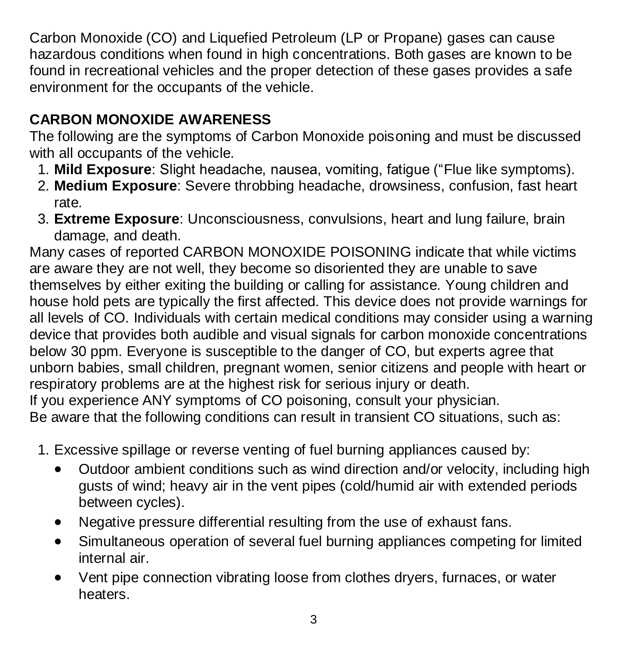Carbon Monoxide (CO) and Liquefied Petroleum (LP or Propane) gases can cause hazardous conditions when found in high concentrations. Both gases are known to be found in recreational vehicles and the proper detection of these gases provides a safe environment for the occupants of the vehicle.

# **CARBON MONOXIDE AWARENESS**

The following are the symptoms of Carbon Monoxide poisoning and must be discussed with all occupants of the vehicle.

- 1. **Mild Exposure**: Slight headache, nausea, vomiting, fatigue ("Flue like symptoms).
- 2. **Medium Exposure**: Severe throbbing headache, drowsiness, confusion, fast heart rate.
- 3. **Extreme Exposure**: Unconsciousness, convulsions, heart and lung failure, brain damage, and death.

Many cases of reported CARBON MONOXIDE POISONING indicate that while victims are aware they are not well, they become so disoriented they are unable to save themselves by either exiting the building or calling for assistance. Young children and house hold pets are typically the first affected. This device does not provide warnings for all levels of CO. Individuals with certain medical conditions may consider using a warning device that provides both audible and visual signals for carbon monoxide concentrations below 30 ppm. Everyone is susceptible to the danger of CO, but experts agree that unborn babies, small children, pregnant women, senior citizens and people with heart or respiratory problems are at the highest risk for serious injury or death. If you experience ANY symptoms of CO poisoning, consult your physician. Be aware that the following conditions can result in transient CO situations, such as:

- 1. Excessive spillage or reverse venting of fuel burning appliances caused by:
	- Outdoor ambient conditions such as wind direction and/or velocity, including high gusts of wind; heavy air in the vent pipes (cold/humid air with extended periods between cycles).
	- Negative pressure differential resulting from the use of exhaust fans.
	- Simultaneous operation of several fuel burning appliances competing for limited internal air.
	- Vent pipe connection vibrating loose from clothes dryers, furnaces, or water heaters.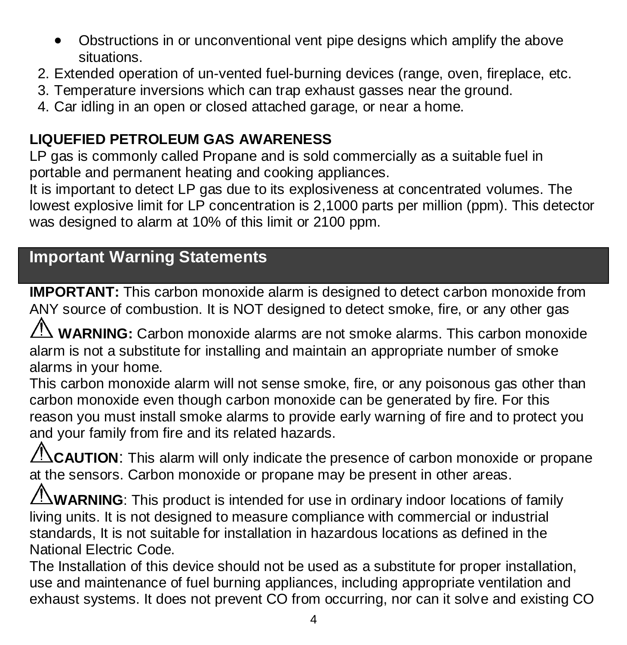- Obstructions in or unconventional vent pipe designs which amplify the above situations.
- 2. Extended operation of un-vented fuel-burning devices (range, oven, fireplace, etc.
- 3. Temperature inversions which can trap exhaust gasses near the ground.
- 4. Car idling in an open or closed attached garage, or near a home.

# **LIQUEFIED PETROLEUM GAS AWARENESS**

LP gas is commonly called Propane and is sold commercially as a suitable fuel in portable and permanent heating and cooking appliances.

It is important to detect LP gas due to its explosiveness at concentrated volumes. The lowest explosive limit for LP concentration is 2,1000 parts per million (ppm). This detector was designed to alarm at 10% of this limit or 2100 ppm.

# **Important Warning Statements**

**IMPORTANT:** This carbon monoxide alarm is designed to detect carbon monoxide from ANY source of combustion. It is NOT designed to detect smoke, fire, or any other gas

**WARNING:** Carbon monoxide alarms are not smoke alarms. This carbon monoxide alarm is not a substitute for installing and maintain an appropriate number of smoke alarms in your home.

This carbon monoxide alarm will not sense smoke, fire, or any poisonous gas other than carbon monoxide even though carbon monoxide can be generated by fire. For this reason you must install smoke alarms to provide early warning of fire and to protect you and your family from fire and its related hazards.

**CAUTION:** This alarm will only indicate the presence of carbon monoxide or propane at the sensors. Carbon monoxide or propane may be present in other areas.

**WARNING**: This product is intended for use in ordinary indoor locations of family living units. It is not designed to measure compliance with commercial or industrial standards, It is not suitable for installation in hazardous locations as defined in the National Electric Code.

The Installation of this device should not be used as a substitute for proper installation, use and maintenance of fuel burning appliances, including appropriate ventilation and exhaust systems. It does not prevent CO from occurring, nor can it solve and existing CO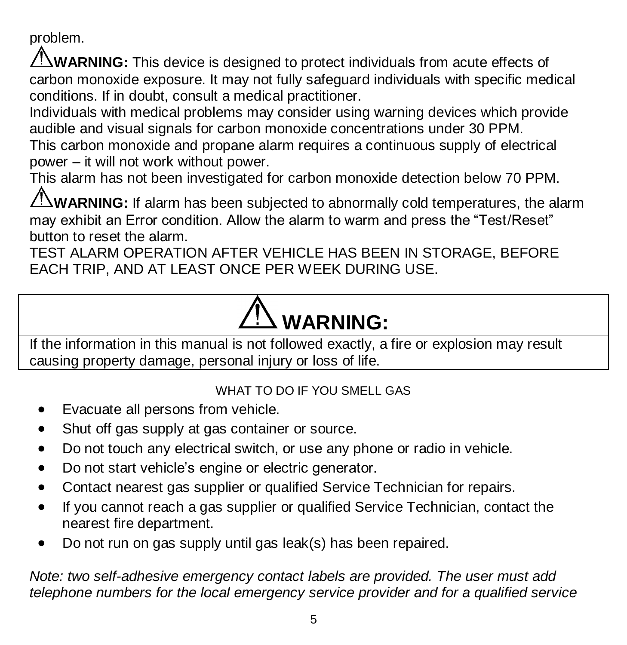problem.

**WARNING:** This device is designed to protect individuals from acute effects of carbon monoxide exposure. It may not fully safeguard individuals with specific medical conditions. If in doubt, consult a medical practitioner.

Individuals with medical problems may consider using warning devices which provide audible and visual signals for carbon monoxide concentrations under 30 PPM.

This carbon monoxide and propane alarm requires a continuous supply of electrical power – it will not work without power.

This alarm has not been investigated for carbon monoxide detection below 70 PPM.

WARNING: If alarm has been subiected to abnormally cold temperatures, the alarm may exhibit an Error condition. Allow the alarm to warm and press the "Test/Reset" button to reset the alarm.

TEST ALARM OPERATION AFTER VEHICLE HAS BEEN IN STORAGE, BEFORE EACH TRIP, AND AT LEAST ONCE PER WEEK DURING USE.

# **WARNING:**

If the information in this manual is not followed exactly, a fire or explosion may result causing property damage, personal injury or loss of life.

#### WHAT TO DO IF YOU SMELL GAS

- Evacuate all persons from vehicle.
- Shut off gas supply at gas container or source.
- Do not touch any electrical switch, or use any phone or radio in vehicle.
- Do not start vehicle's engine or electric generator.
- Contact nearest gas supplier or qualified Service Technician for repairs.
- If you cannot reach a gas supplier or qualified Service Technician, contact the nearest fire department.
- Do not run on gas supply until gas leak(s) has been repaired.

*Note: two self-adhesive emergency contact labels are provided. The user must add telephone numbers for the local emergency service provider and for a qualified service*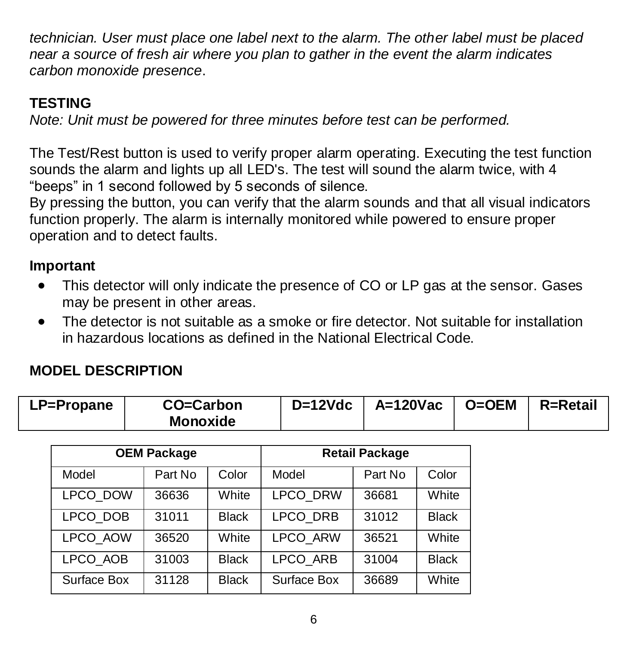*technician. User must place one label next to the alarm. The other label must be placed near a source of fresh air where you plan to gather in the event the alarm indicates carbon monoxide presence*.

# **TESTING**

*Note: Unit must be powered for three minutes before test can be performed.*

The Test/Rest button is used to verify proper alarm operating. Executing the test function sounds the alarm and lights up all LED's. The test will sound the alarm twice, with 4 "beeps" in 1 second followed by 5 seconds of silence.

By pressing the button, you can verify that the alarm sounds and that all visual indicators function properly. The alarm is internally monitored while powered to ensure proper operation and to detect faults.

#### **Important**

- This detector will only indicate the presence of CO or LP gas at the sensor. Gases may be present in other areas.
- The detector is not suitable as a smoke or fire detector. Not suitable for installation in hazardous locations as defined in the National Electrical Code.

#### **MODEL DESCRIPTION**

| D=12Vdc   A=120Vac   O=OEM   R=Retail<br>Monoxide | LP=Propane | CO=Carbon |  |  |  |  |
|---------------------------------------------------|------------|-----------|--|--|--|--|
|---------------------------------------------------|------------|-----------|--|--|--|--|

| <b>OEM Package</b> |         |              | <b>Retail Package</b> |         |              |
|--------------------|---------|--------------|-----------------------|---------|--------------|
| Model              | Part No | Color        | Model                 | Part No | Color        |
| LPCO DOW           | 36636   | White        | <b>LPCO DRW</b>       | 36681   | White        |
| LPCO DOB           | 31011   | <b>Black</b> | <b>LPCO DRB</b>       | 31012   | <b>Black</b> |
| LPCO AOW           | 36520   | White        | <b>LPCO ARW</b>       | 36521   | White        |
| LPCO AOB           | 31003   | <b>Black</b> | LPCO ARB              | 31004   | <b>Black</b> |
| Surface Box        | 31128   | <b>Black</b> | Surface Box           | 36689   | White        |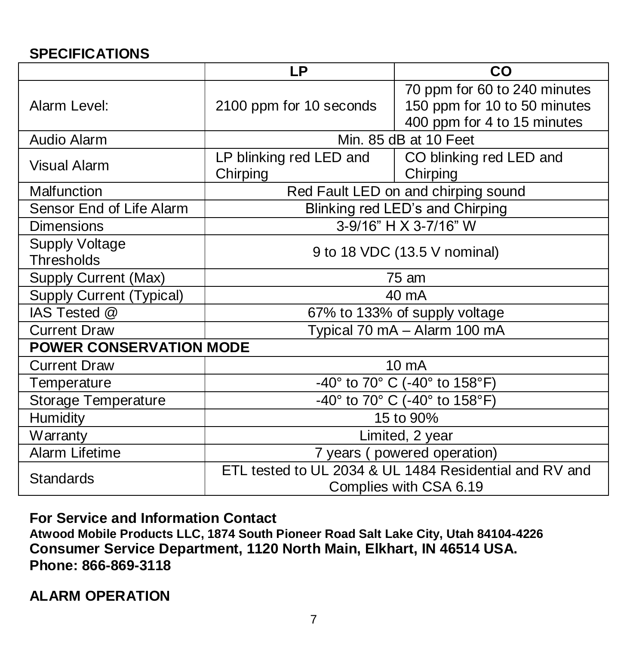#### **SPECIFICATIONS**

|                                                                                                      | LP                                                                         | CO                                                                                          |  |  |  |
|------------------------------------------------------------------------------------------------------|----------------------------------------------------------------------------|---------------------------------------------------------------------------------------------|--|--|--|
| Alarm Level:                                                                                         | 2100 ppm for 10 seconds                                                    | 70 ppm for 60 to 240 minutes<br>150 ppm for 10 to 50 minutes<br>400 ppm for 4 to 15 minutes |  |  |  |
| Audio Alarm                                                                                          | Min. 85 dB at 10 Feet                                                      |                                                                                             |  |  |  |
| Visual Alarm                                                                                         | LP blinking red LED and<br>CO blinking red LED and<br>Chirping<br>Chirping |                                                                                             |  |  |  |
| Malfunction                                                                                          | Red Fault LED on and chirping sound                                        |                                                                                             |  |  |  |
| Sensor End of Life Alarm                                                                             | Blinking red LED's and Chirping                                            |                                                                                             |  |  |  |
| Dimensions                                                                                           | 3-9/16" H X 3-7/16" W                                                      |                                                                                             |  |  |  |
| <b>Supply Voltage</b><br>Thresholds                                                                  | 9 to 18 VDC (13.5 V nominal)                                               |                                                                                             |  |  |  |
| Supply Current (Max)                                                                                 | 75 am                                                                      |                                                                                             |  |  |  |
| Supply Current (Typical)                                                                             | 40 mA                                                                      |                                                                                             |  |  |  |
| IAS Tested @                                                                                         | 67% to 133% of supply voltage                                              |                                                                                             |  |  |  |
| <b>Current Draw</b>                                                                                  | Typical 70 mA - Alarm 100 mA                                               |                                                                                             |  |  |  |
| <b>POWER CONSERVATION MODE</b>                                                                       |                                                                            |                                                                                             |  |  |  |
| <b>Current Draw</b>                                                                                  | 10 mA                                                                      |                                                                                             |  |  |  |
| Temperature                                                                                          | -40° to 70° C (-40° to 158°F)                                              |                                                                                             |  |  |  |
| Storage Temperature                                                                                  | -40° to 70° C (-40° to 158°F)                                              |                                                                                             |  |  |  |
| Humidity                                                                                             | 15 to 90%                                                                  |                                                                                             |  |  |  |
| Warranty                                                                                             | Limited, 2 year                                                            |                                                                                             |  |  |  |
| Alarm Lifetime                                                                                       | 7 years (powered operation)                                                |                                                                                             |  |  |  |
| ETL tested to UL 2034 & UL 1484 Residential and RV and<br><b>Standards</b><br>Complies with CSA 6.19 |                                                                            |                                                                                             |  |  |  |

**For Service and Information Contact**

**Atwood Mobile Products LLC, 1874 South Pioneer Road Salt Lake City, Utah 84104-4226 Consumer Service Department, 1120 North Main, Elkhart, IN 46514 USA. Phone: 866-869-3118**

**ALARM OPERATION**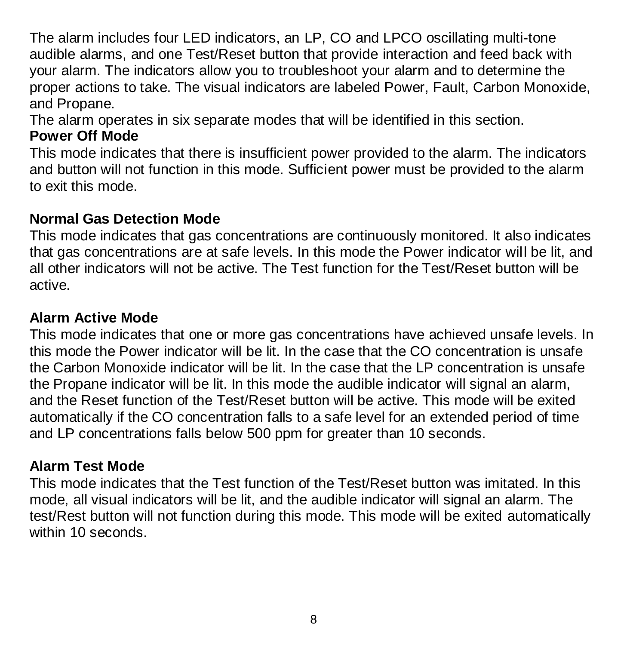The alarm includes four LED indicators, an LP, CO and LPCO oscillating multi-tone audible alarms, and one Test/Reset button that provide interaction and feed back with your alarm. The indicators allow you to troubleshoot your alarm and to determine the proper actions to take. The visual indicators are labeled Power, Fault, Carbon Monoxide, and Propane.

The alarm operates in six separate modes that will be identified in this section.

#### **Power Off Mode**

This mode indicates that there is insufficient power provided to the alarm. The indicators and button will not function in this mode. Sufficient power must be provided to the alarm to exit this mode.

#### **Normal Gas Detection Mode**

This mode indicates that gas concentrations are continuously monitored. It also indicates that gas concentrations are at safe levels. In this mode the Power indicator will be lit, and all other indicators will not be active. The Test function for the Test/Reset button will be active.

#### **Alarm Active Mode**

This mode indicates that one or more gas concentrations have achieved unsafe levels. In this mode the Power indicator will be lit. In the case that the CO concentration is unsafe the Carbon Monoxide indicator will be lit. In the case that the LP concentration is unsafe the Propane indicator will be lit. In this mode the audible indicator will signal an alarm, and the Reset function of the Test/Reset button will be active. This mode will be exited automatically if the CO concentration falls to a safe level for an extended period of time and LP concentrations falls below 500 ppm for greater than 10 seconds.

#### **Alarm Test Mode**

This mode indicates that the Test function of the Test/Reset button was imitated. In this mode, all visual indicators will be lit, and the audible indicator will signal an alarm. The test/Rest button will not function during this mode. This mode will be exited automatically within 10 seconds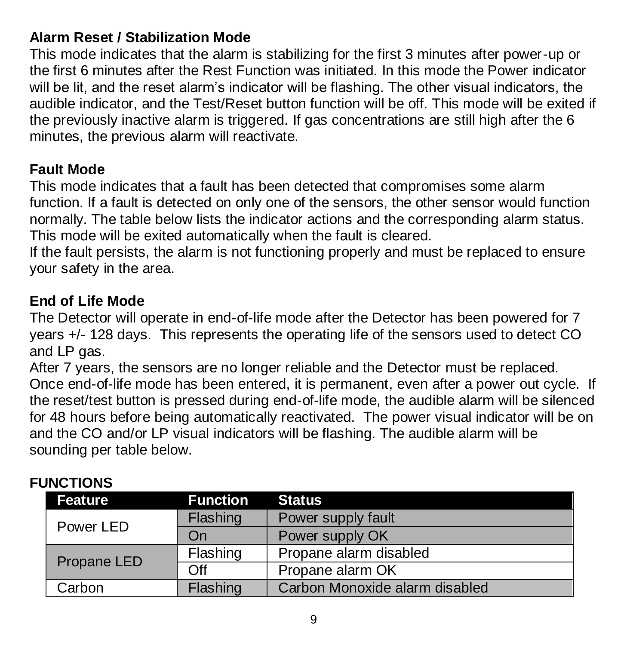#### **Alarm Reset / Stabilization Mode**

This mode indicates that the alarm is stabilizing for the first 3 minutes after power-up or the first 6 minutes after the Rest Function was initiated. In this mode the Power indicator will be lit, and the reset alarm's indicator will be flashing. The other visual indicators, the audible indicator, and the Test/Reset button function will be off. This mode will be exited if the previously inactive alarm is triggered. If gas concentrations are still high after the 6 minutes, the previous alarm will reactivate.

#### **Fault Mode**

This mode indicates that a fault has been detected that compromises some alarm function. If a fault is detected on only one of the sensors, the other sensor would function normally. The table below lists the indicator actions and the corresponding alarm status. This mode will be exited automatically when the fault is cleared.

If the fault persists, the alarm is not functioning properly and must be replaced to ensure your safety in the area.

#### **End of Life Mode**

The Detector will operate in end-of-life mode after the Detector has been powered for 7 years +/- 128 days. This represents the operating life of the sensors used to detect CO and LP gas.

After 7 years, the sensors are no longer reliable and the Detector must be replaced. Once end-of-life mode has been entered, it is permanent, even after a power out cycle. If the reset/test button is pressed during end-of-life mode, the audible alarm will be silenced for 48 hours before being automatically reactivated. The power visual indicator will be on and the CO and/or LP visual indicators will be flashing. The audible alarm will be sounding per table below.

| Feature     | <b>Function</b> | <b>Status</b>                  |  |
|-------------|-----------------|--------------------------------|--|
|             | Flashing        | Power supply fault             |  |
| Power LED   | On              | Power supply OK                |  |
| Propane LED | Flashing        | Propane alarm disabled         |  |
|             | Off             | Propane alarm OK               |  |
| Carbon      | Flashing        | Carbon Monoxide alarm disabled |  |

#### **FUNCTIONS**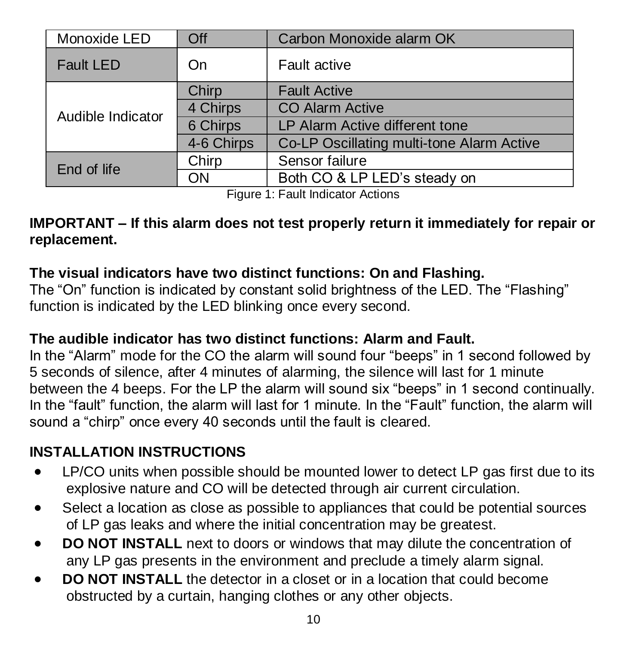| Monoxide LED      | Off        | Carbon Monoxide alarm OK                  |  |
|-------------------|------------|-------------------------------------------|--|
| <b>Fault LED</b>  | On         | Fault active                              |  |
| Audible Indicator | Chirp      | <b>Fault Active</b>                       |  |
|                   | 4 Chirps   | <b>CO Alarm Active</b>                    |  |
|                   | 6 Chirps   | LP Alarm Active different tone            |  |
|                   | 4-6 Chirps | Co-LP Oscillating multi-tone Alarm Active |  |
| End of life       | Chirp      | Sensor failure                            |  |
|                   | ON         | Both CO & LP LED's steady on              |  |

Figure 1: Fault Indicator Actions

#### **IMPORTANT – If this alarm does not test properly return it immediately for repair or replacement.**

# **The visual indicators have two distinct functions: On and Flashing.**

The "On" function is indicated by constant solid brightness of the LED. The "Flashing" function is indicated by the LED blinking once every second.

## **The audible indicator has two distinct functions: Alarm and Fault.**

In the "Alarm" mode for the CO the alarm will sound four "beeps" in 1 second followed by 5 seconds of silence, after 4 minutes of alarming, the silence will last for 1 minute between the 4 beeps. For the LP the alarm will sound six "beeps" in 1 second continually. In the "fault" function, the alarm will last for 1 minute. In the "Fault" function, the alarm will sound a "chirp" once every 40 seconds until the fault is cleared.

# **INSTALLATION INSTRUCTIONS**

- LP/CO units when possible should be mounted lower to detect LP gas first due to its explosive nature and CO will be detected through air current circulation.
- Select a location as close as possible to appliances that could be potential sources of LP gas leaks and where the initial concentration may be greatest.
- **DO NOT INSTALL** next to doors or windows that may dilute the concentration of any LP gas presents in the environment and preclude a timely alarm signal.
- **DO NOT INSTALL** the detector in a closet or in a location that could become obstructed by a curtain, hanging clothes or any other objects.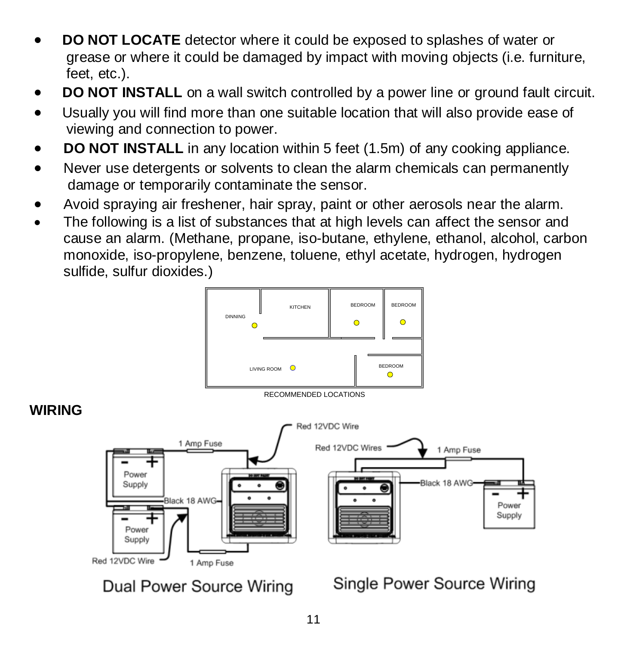- **DO NOT LOCATE** detector where it could be exposed to splashes of water or grease or where it could be damaged by impact with moving objects (i.e. furniture, feet, etc.).
- **DO NOT INSTALL** on a wall switch controlled by a power line or ground fault circuit.
- Usually you will find more than one suitable location that will also provide ease of viewing and connection to power.
- **DO NOT INSTALL** in any location within 5 feet (1.5m) of any cooking appliance.
- Never use detergents or solvents to clean the alarm chemicals can permanently damage or temporarily contaminate the sensor.
- Avoid spraying air freshener, hair spray, paint or other aerosols near the alarm.
- The following is a list of substances that at high levels can affect the sensor and cause an alarm. (Methane, propane, iso-butane, ethylene, ethanol, alcohol, carbon monoxide, iso-propylene, benzene, toluene, ethyl acetate, hydrogen, hydrogen sulfide, sulfur dioxides.)





# **WIRING**



Dual Power Source Wiring

Single Power Source Wiring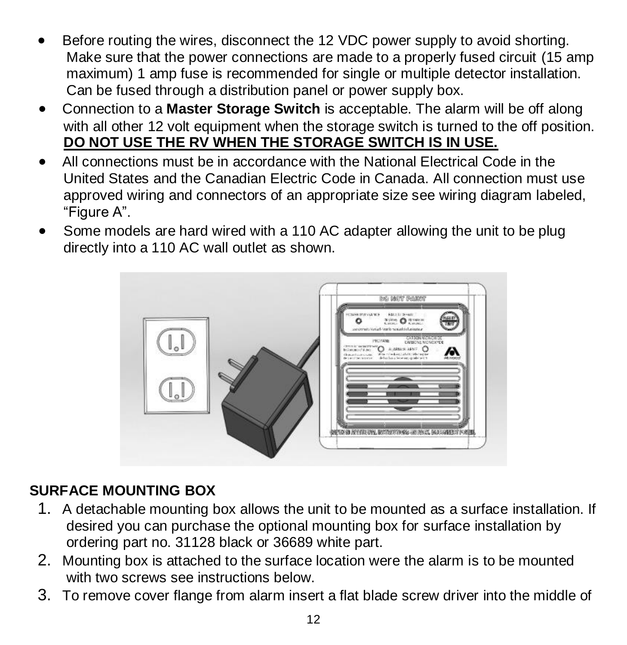- Before routing the wires, disconnect the 12 VDC power supply to avoid shorting. Make sure that the power connections are made to a properly fused circuit (15 amp maximum) 1 amp fuse is recommended for single or multiple detector installation. Can be fused through a distribution panel or power supply box.
- Connection to a **Master Storage Switch** is acceptable. The alarm will be off along with all other 12 volt equipment when the storage switch is turned to the off position. **DO NOT USE THE RV WHEN THE STORAGE SWITCH IS IN USE.**
- All connections must be in accordance with the National Electrical Code in the United States and the Canadian Electric Code in Canada. All connection must use approved wiring and connectors of an appropriate size see wiring diagram labeled, "Figure A".
- Some models are hard wired with a 110 AC adapter allowing the unit to be plug directly into a 110 AC wall outlet as shown.



# **SURFACE MOUNTING BOX**

- 1. A detachable mounting box allows the unit to be mounted as a surface installation. If desired you can purchase the optional mounting box for surface installation by ordering part no. 31128 black or 36689 white part.
- 2. Mounting box is attached to the surface location were the alarm is to be mounted with two screws see instructions below.
- 3. To remove cover flange from alarm insert a flat blade screw driver into the middle of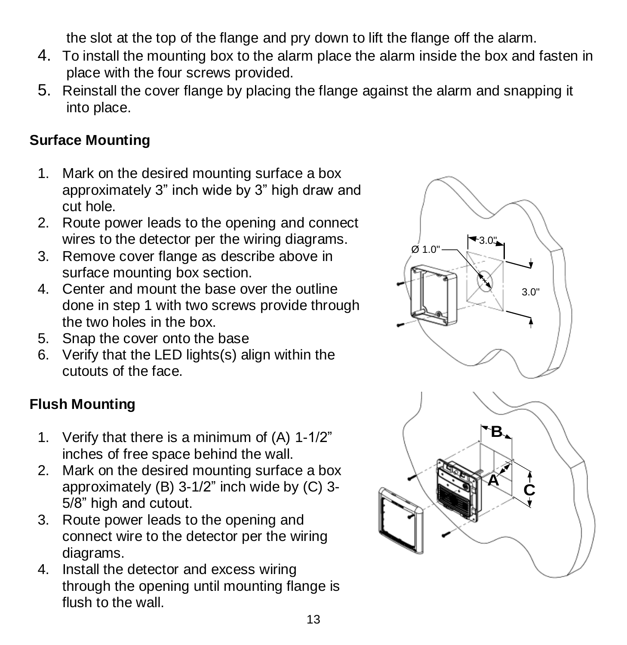the slot at the top of the flange and pry down to lift the flange off the alarm.

- 4. To install the mounting box to the alarm place the alarm inside the box and fasten in place with the four screws provided.
- 5. Reinstall the cover flange by placing the flange against the alarm and snapping it into place.

#### **Surface Mounting**

- 1. Mark on the desired mounting surface a box approximately 3" inch wide by 3" high draw and cut hole.
- 2. Route power leads to the opening and connect wires to the detector per the wiring diagrams.
- 3. Remove cover flange as describe above in surface mounting box section.
- 4. Center and mount the base over the outline done in step 1 with two screws provide through the two holes in the box.
- 5. Snap the cover onto the base
- 6. Verify that the LED lights(s) align within the cutouts of the face.

# **Flush Mounting**

- 1. Verify that there is a minimum of (A) 1-1/2" inches of free space behind the wall.
- 2. Mark on the desired mounting surface a box approximately (B) 3-1/2" inch wide by (C) 3- 5/8" high and cutout.
- 3. Route power leads to the opening and connect wire to the detector per the wiring diagrams.
- 4. Install the detector and excess wiring through the opening until mounting flange is flush to the wall.

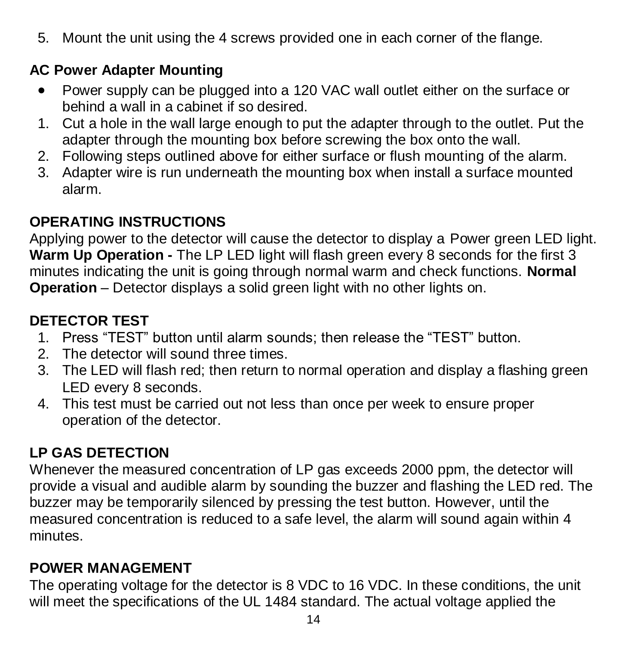5. Mount the unit using the 4 screws provided one in each corner of the flange.

# **AC Power Adapter Mounting**

- Power supply can be plugged into a 120 VAC wall outlet either on the surface or behind a wall in a cabinet if so desired.
- 1. Cut a hole in the wall large enough to put the adapter through to the outlet. Put the adapter through the mounting box before screwing the box onto the wall.
- 2. Following steps outlined above for either surface or flush mounting of the alarm.
- 3. Adapter wire is run underneath the mounting box when install a surface mounted alarm.

# **OPERATING INSTRUCTIONS**

Applying power to the detector will cause the detector to display a Power green LED light. Warm Up Operation - The LP LED light will flash green every 8 seconds for the first 3 minutes indicating the unit is going through normal warm and check functions. **Normal Operation** – Detector displays a solid green light with no other lights on.

# **DETECTOR TEST**

- 1. Press "TEST" button until alarm sounds; then release the "TEST" button.
- 2. The detector will sound three times.
- 3. The LED will flash red; then return to normal operation and display a flashing green LED every 8 seconds.
- 4. This test must be carried out not less than once per week to ensure proper operation of the detector.

# **LP GAS DETECTION**

Whenever the measured concentration of LP gas exceeds 2000 ppm, the detector will provide a visual and audible alarm by sounding the buzzer and flashing the LED red. The buzzer may be temporarily silenced by pressing the test button. However, until the measured concentration is reduced to a safe level, the alarm will sound again within 4 minutes.

# **POWER MANAGEMENT**

The operating voltage for the detector is 8 VDC to 16 VDC. In these conditions, the unit will meet the specifications of the UL 1484 standard. The actual voltage applied the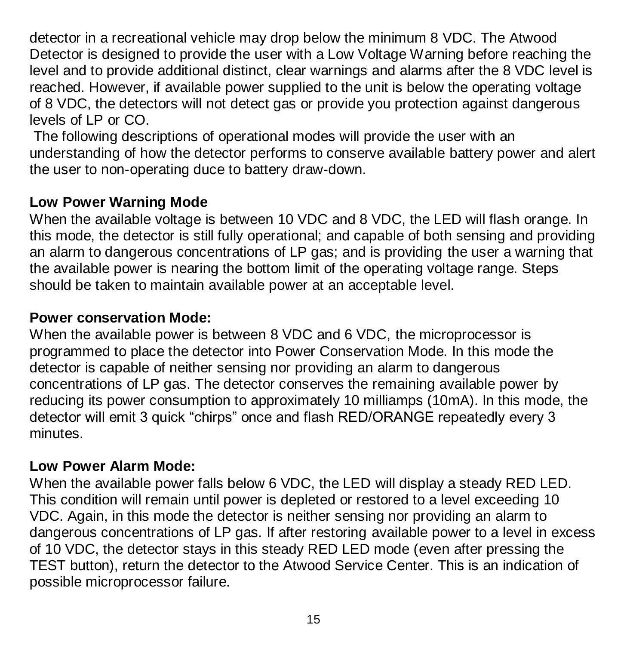detector in a recreational vehicle may drop below the minimum 8 VDC. The Atwood Detector is designed to provide the user with a Low Voltage Warning before reaching the level and to provide additional distinct, clear warnings and alarms after the 8 VDC level is reached. However, if available power supplied to the unit is below the operating voltage of 8 VDC, the detectors will not detect gas or provide you protection against dangerous levels of LP or CO.

The following descriptions of operational modes will provide the user with an understanding of how the detector performs to conserve available battery power and alert the user to non-operating duce to battery draw-down.

#### **Low Power Warning Mode**

When the available voltage is between 10 VDC and 8 VDC, the LED will flash orange. In this mode, the detector is still fully operational; and capable of both sensing and providing an alarm to dangerous concentrations of LP gas; and is providing the user a warning that the available power is nearing the bottom limit of the operating voltage range. Steps should be taken to maintain available power at an acceptable level.

#### **Power conservation Mode:**

When the available power is between 8 VDC and 6 VDC, the microprocessor is programmed to place the detector into Power Conservation Mode. In this mode the detector is capable of neither sensing nor providing an alarm to dangerous concentrations of LP gas. The detector conserves the remaining available power by reducing its power consumption to approximately 10 milliamps (10mA). In this mode, the detector will emit 3 quick "chirps" once and flash RED/ORANGE repeatedly every 3 minutes.

#### **Low Power Alarm Mode:**

When the available power falls below 6 VDC, the LED will display a steady RED LED. This condition will remain until power is depleted or restored to a level exceeding 10 VDC. Again, in this mode the detector is neither sensing nor providing an alarm to dangerous concentrations of LP gas. If after restoring available power to a level in excess of 10 VDC, the detector stays in this steady RED LED mode (even after pressing the TEST button), return the detector to the Atwood Service Center. This is an indication of possible microprocessor failure.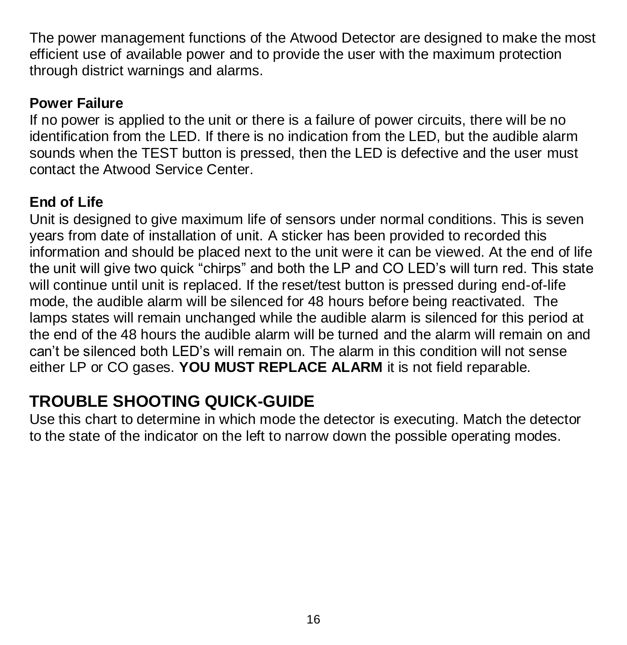The power management functions of the Atwood Detector are designed to make the most efficient use of available power and to provide the user with the maximum protection through district warnings and alarms.

#### **Power Failure**

If no power is applied to the unit or there is a failure of power circuits, there will be no identification from the LED. If there is no indication from the LED, but the audible alarm sounds when the TEST button is pressed, then the LED is defective and the user must contact the Atwood Service Center.

# **End of Life**

Unit is designed to give maximum life of sensors under normal conditions. This is seven years from date of installation of unit. A sticker has been provided to recorded this information and should be placed next to the unit were it can be viewed. At the end of life the unit will give two quick "chirps" and both the LP and CO LED's will turn red. This state will continue until unit is replaced. If the reset/test button is pressed during end-of-life mode, the audible alarm will be silenced for 48 hours before being reactivated. The lamps states will remain unchanged while the audible alarm is silenced for this period at the end of the 48 hours the audible alarm will be turned and the alarm will remain on and can't be silenced both LED's will remain on. The alarm in this condition will not sense either LP or CO gases. **YOU MUST REPLACE ALARM** it is not field reparable.

# **TROUBLE SHOOTING QUICK-GUIDE**

Use this chart to determine in which mode the detector is executing. Match the detector to the state of the indicator on the left to narrow down the possible operating modes.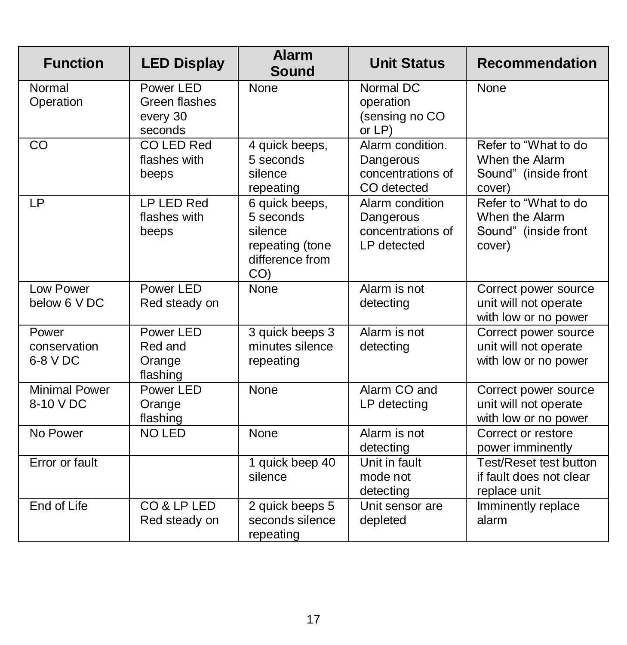| <b>Function</b>                   | <b>LED Display</b>                                | Alarm<br>Sound                                                                                  | <b>Unit Status</b>                                                | Recommendation                                                           |
|-----------------------------------|---------------------------------------------------|-------------------------------------------------------------------------------------------------|-------------------------------------------------------------------|--------------------------------------------------------------------------|
| Normal<br>Operation               | Power LED<br>Green flashes<br>every 30<br>seconds | None                                                                                            | Normal DC<br>operation<br>(sensing no CO<br>or LP)                | None                                                                     |
| CO                                | CO LED Red<br>flashes with<br>beeps               | 4 quick beeps,<br>5 seconds<br>silence<br>repeating                                             | Alarm condition.<br>Dangerous<br>concentrations of<br>CO detected | Refer to "What to do<br>When the Alarm<br>Sound" (inside front<br>cover) |
| LP                                | LP LED Red<br>flashes with<br>beeps               | 6 quick beeps,<br>5 seconds<br>silence<br>repeating (tone<br>difference from<br>CO <sub>0</sub> | Alarm condition<br>Dangerous<br>concentrations of<br>LP detected  | Refer to "What to do<br>When the Alarm<br>Sound" (inside front<br>cover) |
| I ow Power<br>below 6 VDC         | Power I FD<br>Red steady on                       | None                                                                                            | Alarm is not<br>detecting                                         | Correct power source<br>unit will not operate<br>with low or no power    |
| Power<br>conservation<br>6-8 V DC | Power LED<br>Red and<br>Orange<br>flashing        | 3 quick beeps 3<br>minutes silence<br>repeating                                                 | Alarm is not<br>detecting                                         | Correct power source<br>unit will not operate<br>with low or no power    |
| Minimal Power<br>8-10 V DC        | Power I FD<br>Orange<br>flashing                  | None                                                                                            | Alarm CO and<br>LP detecting                                      | Correct power source<br>unit will not operate<br>with low or no power    |
| No Power                          | NO LED                                            | None                                                                                            | Alarm is not<br>detecting                                         | Correct or restore<br>power imminently                                   |
| Error or fault                    |                                                   | 1 quick beep 40<br>silence                                                                      | Unit in fault<br>mode not<br>detecting                            | Test/Reset test button<br>if fault does not clear<br>replace unit        |
| End of Life                       | CO & LP LED<br>Red steady on                      | 2 quick beeps 5<br>seconds silence<br>repeating                                                 | Unit sensor are<br>depleted                                       | Imminently replace<br>alarm                                              |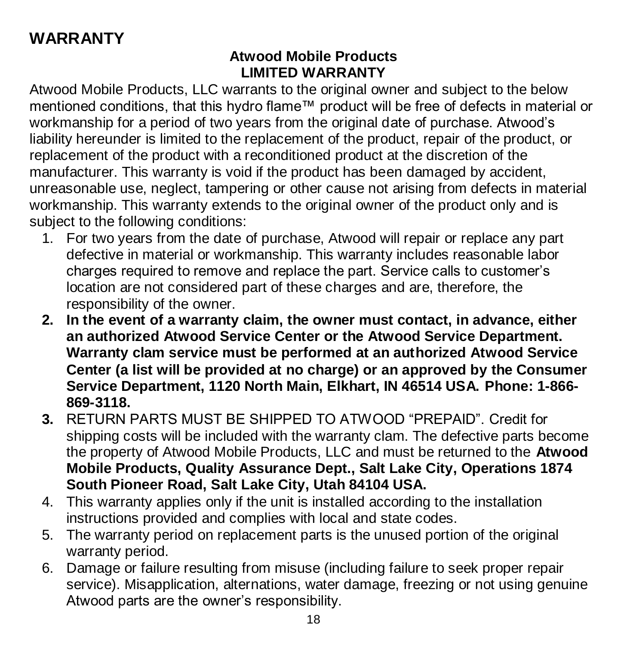# **WARRANTY**

#### **Atwood Mobile Products LIMITED WARRANTY**

Atwood Mobile Products, LLC warrants to the original owner and subject to the below mentioned conditions, that this hydro flame™ product will be free of defects in material or workmanship for a period of two years from the original date of purchase. Atwood's liability hereunder is limited to the replacement of the product, repair of the product, or replacement of the product with a reconditioned product at the discretion of the manufacturer. This warranty is void if the product has been damaged by accident, unreasonable use, neglect, tampering or other cause not arising from defects in material workmanship. This warranty extends to the original owner of the product only and is subject to the following conditions:

- 1. For two years from the date of purchase, Atwood will repair or replace any part defective in material or workmanship. This warranty includes reasonable labor charges required to remove and replace the part. Service calls to customer's location are not considered part of these charges and are, therefore, the responsibility of the owner.
- **2. In the event of a warranty claim, the owner must contact, in advance, either an authorized Atwood Service Center or the Atwood Service Department. Warranty clam service must be performed at an authorized Atwood Service Center (a list will be provided at no charge) or an approved by the Consumer Service Department, 1120 North Main, Elkhart, IN 46514 USA. Phone: 1-866- 869-3118.**
- **3.** RETURN PARTS MUST BE SHIPPED TO ATWOOD "PREPAID". Credit for shipping costs will be included with the warranty clam. The defective parts become the property of Atwood Mobile Products, LLC and must be returned to the **Atwood Mobile Products, Quality Assurance Dept., Salt Lake City, Operations 1874 South Pioneer Road, Salt Lake City, Utah 84104 USA.**
- 4. This warranty applies only if the unit is installed according to the installation instructions provided and complies with local and state codes.
- 5. The warranty period on replacement parts is the unused portion of the original warranty period.
- 6. Damage or failure resulting from misuse (including failure to seek proper repair service). Misapplication, alternations, water damage, freezing or not using genuine Atwood parts are the owner's responsibility.